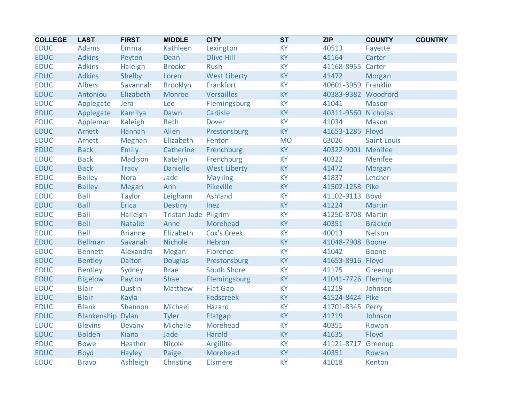| <b>COLLEGE</b> | <b>LAST</b>              | <b>FIRST</b>   | <b>MIDDLE</b>        | <b>CITY</b>         | <b>ST</b> | <b>ZIP</b>          | <b>COUNTY</b>      | <b>COUNTRY</b> |
|----------------|--------------------------|----------------|----------------------|---------------------|-----------|---------------------|--------------------|----------------|
| <b>EDUC</b>    | <b>Adams</b>             | Emma           | Kathleen             | Lexington           | KY        | 40513               | Fayette            |                |
| <b>EDUC</b>    | <b>Adkins</b>            | Peyton         | <b>Dean</b>          | <b>Olive Hill</b>   | KY        | 41164               | Carter             |                |
| <b>EDUC</b>    | <b>Adkins</b>            | Haleigh        | <b>Brooke</b>        | Rush                | KY        | 41168-8955 Carter   |                    |                |
| <b>EDUC</b>    | <b>Adkins</b>            | Shelby         | Loren                | <b>West Liberty</b> | KY        | 41472               | Morgan             |                |
| <b>EDUC</b>    | <b>Albers</b>            | Savannah       | <b>Brooklyn</b>      | Frankfort           | KY        | 40601-3959 Franklin |                    |                |
| <b>EDUC</b>    | Antoniou                 | Elizabeth      | Monroe               | Versailles          | KY        | 40383-9382 Woodford |                    |                |
| <b>EDUC</b>    | Applegate                | Jera           | Lee                  | Flemingsburg        | KY        | 41041               | Mason              |                |
| <b>EDUC</b>    | Applegate                | Kamilya        | Dawn                 | Carlisle            | KY        | 40311-9560 Nicholas |                    |                |
| <b>EDUC</b>    | Appleman                 | Kaleigh        | <b>Beth</b>          | <b>Dover</b>        | KY        | 41034               | <b>Mason</b>       |                |
| <b>EDUC</b>    | Arnett                   | Hannah         | Allen                | Prestonsburg        | <b>KY</b> | 41653-1285 Floyd    |                    |                |
| <b>EDUC</b>    | Arnett                   | Meghan         | Elizabeth            | Fenton              | <b>MO</b> | 63026               | <b>Saint Louis</b> |                |
| <b>EDUC</b>    | <b>Back</b>              | Emily          | Catherine            | Frenchburg          | KY        | 40322-9001 Menifee  |                    |                |
| <b>EDUC</b>    | <b>Back</b>              | Madison        | Katelyn              | Frenchburg          | KY        | 40322               | Menifee            |                |
| <b>EDUC</b>    | <b>Back</b>              | <b>Tracy</b>   | <b>Danielle</b>      | <b>West Liberty</b> | KY        | 41472               | <b>Morgan</b>      |                |
| <b>EDUC</b>    | <b>Bailey</b>            | <b>Nora</b>    | Jade                 | <b>Mayking</b>      | KY        | 41837               | Letcher            |                |
| <b>EDUC</b>    | <b>Bailey</b>            | Megan          | Ann                  | Pikeville           | KY        | 41502-1253 Pike     |                    |                |
| <b>EDUC</b>    | <b>Ball</b>              | <b>Taylor</b>  | Leighann             | <b>Ashland</b>      | KY        | 41102-9113          | <b>Boyd</b>        |                |
| <b>EDUC</b>    | <b>Ball</b>              | <b>Erica</b>   | <b>Destiny</b>       | Inez                | KY        | 41224               | Martin             |                |
| <b>EDUC</b>    | <b>Ball</b>              | Haileigh       | Tristan Jade Pilgrim |                     | KY        | 41250-8708 Martin   |                    |                |
| <b>EDUC</b>    | <b>Bell</b>              | <b>Natalie</b> | Anne                 | Morehead            | KY        | 40351               | <b>Bracken</b>     |                |
| <b>EDUC</b>    | <b>Bell</b>              | <b>Brianne</b> | Elizabeth            | <b>Cox's Creek</b>  | KY        | 40013               | <b>Nelson</b>      |                |
| <b>EDUC</b>    | <b>Bellman</b>           | Savanah        | Nichole              | Hebron              | KY        | 41048-7908 Boone    |                    |                |
| <b>EDUC</b>    | <b>Bennett</b>           | Alexandra      | <b>Megan</b>         | Florence            | KY        | 41042               | <b>Boone</b>       |                |
| <b>EDUC</b>    | <b>Bentley</b>           | Dalton         | <b>Douglas</b>       | Prestonsburg        | KY        | 41653-8916 Floyd    |                    |                |
| <b>EDUC</b>    | <b>Bentley</b>           | Sydney         | <b>Brae</b>          | <b>South Shore</b>  | KY        | 41175               | Greenup            |                |
| <b>EDUC</b>    | <b>Bigelow</b>           | Payton         | Shae                 | Flemingsburg        | KY        | 41041-7726 Fleming  |                    |                |
| <b>EDUC</b>    | <b>Blair</b>             | <b>Dustin</b>  | Matthew              | <b>Flat Gap</b>     | KY        | 41219               | Johnson            |                |
| <b>EDUC</b>    | <b>Blair</b>             | Kayla          |                      | Fedscreek           | KY        | 41524-8424 Pike     |                    |                |
| <b>EDUC</b>    | <b>Blank</b>             | Shannon        | Michael              | Hazard              | KY        | 41701-8345 Perry    |                    |                |
| <b>EDUC</b>    | <b>Blankenship Dylan</b> |                | <b>Tyler</b>         | Flatgap             | KY        | 41219               | Johnson            |                |
| <b>EDUC</b>    | <b>Blevins</b>           | Devany         | Michelle             | Morehead            | KY        | 40351               | Rowan              |                |
| <b>EDUC</b>    | <b>Bolden</b>            | Kiana          | Jade                 | Harold              | KY        | 41635               | Floyd              |                |
| <b>EDUC</b>    | <b>Bowe</b>              | Heather        | <b>Nicole</b>        | Argillite           | KY        | 41121-8717 Greenup  |                    |                |
| <b>EDUC</b>    | <b>Boyd</b>              | Hayley         | Paige                | Morehead            | KY        | 40351               | Rowan              |                |
| <b>EDUC</b>    | <b>Bravo</b>             | Ashleigh       | Christine            | <b>Elsmere</b>      | <b>KY</b> | 41018               | Kenton             |                |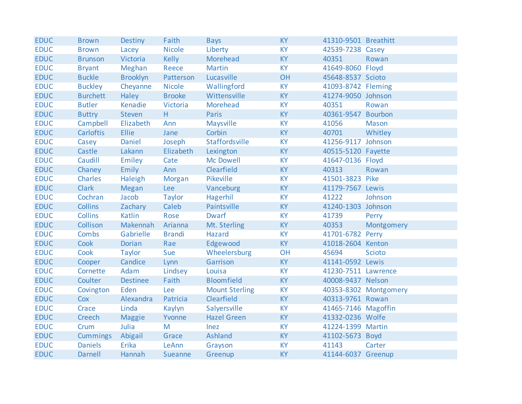| <b>EDUC</b> | <b>Brown</b>     | <b>Destiny</b>  | Faith          | <b>Bays</b>           | <b>KY</b> | 41310-9501 Breathitt |                       |
|-------------|------------------|-----------------|----------------|-----------------------|-----------|----------------------|-----------------------|
| <b>EDUC</b> | <b>Brown</b>     | Lacey           | <b>Nicole</b>  | Liberty               | <b>KY</b> | 42539-7238 Casey     |                       |
| <b>EDUC</b> | <b>Brunson</b>   | Victoria        | <b>Kelly</b>   | Morehead              | <b>KY</b> | 40351                | Rowan                 |
| <b>EDUC</b> | <b>Bryant</b>    | Meghan          | Reece          | <b>Martin</b>         | <b>KY</b> | 41649-8060 Floyd     |                       |
| <b>EDUC</b> | <b>Buckle</b>    | <b>Brooklyn</b> | Patterson      | Lucasville            | OH        | 45648-8537 Scioto    |                       |
| <b>EDUC</b> | <b>Buckley</b>   | Cheyanne        | <b>Nicole</b>  | Wallingford           | <b>KY</b> | 41093-8742 Fleming   |                       |
| <b>EDUC</b> | <b>Burchett</b>  | Haley           | <b>Brooke</b>  | Wittensville          | <b>KY</b> | 41274-9050 Johnson   |                       |
| <b>EDUC</b> | <b>Butler</b>    | Kenadie         | Victoria       | Morehead              | <b>KY</b> | 40351                | Rowan                 |
| <b>EDUC</b> | <b>Buttry</b>    | Steven          | H              | Paris                 | <b>KY</b> | 40361-9547 Bourbon   |                       |
| <b>EDUC</b> | Campbell         | Elizabeth       | Ann            | Maysville             | <b>KY</b> | 41056                | <b>Mason</b>          |
| <b>EDUC</b> | <b>Carloftis</b> | <b>Ellie</b>    | Jane           | Corbin                | <b>KY</b> | 40701                | Whitley               |
| <b>EDUC</b> | Casey            | <b>Daniel</b>   | Joseph         | Staffordsville        | <b>KY</b> | 41256-9117 Johnson   |                       |
| <b>EDUC</b> | Castle           | Lakann          | Elizabeth      | Lexington             | <b>KY</b> | 40515-5120 Fayette   |                       |
| <b>EDUC</b> | Caudill          | Emiley          | Cate           | <b>Mc Dowell</b>      | <b>KY</b> | 41647-0136 Floyd     |                       |
| <b>EDUC</b> | Chaney           | Emily           | Ann            | Clearfield            | <b>KY</b> | 40313                | Rowan                 |
| <b>EDUC</b> | <b>Charles</b>   | Haleigh         | Morgan         | Pikeville             | <b>KY</b> | 41501-3823 Pike      |                       |
| <b>EDUC</b> | <b>Clark</b>     | Megan           | Lee            | Vanceburg             | <b>KY</b> | 41179-7567 Lewis     |                       |
| <b>EDUC</b> | Cochran          | Jacob           | Taylor         | Hagerhil              | <b>KY</b> | 41222                | Johnson               |
| <b>EDUC</b> | <b>Collins</b>   | Zachary         | Caleb          | Paintsville           | <b>KY</b> | 41240-1303 Johnson   |                       |
| <b>EDUC</b> | <b>Collins</b>   | <b>Katlin</b>   | Rose           | <b>Dwarf</b>          | <b>KY</b> | 41739                | Perry                 |
| <b>EDUC</b> | Collison         | Makennah        | Arianna        | Mt. Sterling          | <b>KY</b> | 40353                | Montgomery            |
| <b>EDUC</b> | Combs            | Gabrielle       | <b>Brandi</b>  | <b>Hazard</b>         | <b>KY</b> | 41701-6782 Perry     |                       |
| <b>EDUC</b> | Cook             | <b>Dorian</b>   | Rae            | Edgewood              | <b>KY</b> | 41018-2604 Kenton    |                       |
| <b>EDUC</b> | Cook             | <b>Taylor</b>   | Sue            | Wheelersburg          | OH        | 45694                | <b>Scioto</b>         |
| <b>EDUC</b> | Cooper           | Candice         | Lynn           | Garrison              | <b>KY</b> | 41141-0592 Lewis     |                       |
| <b>EDUC</b> | Cornette         | Adam            | Lindsey        | Louisa                | <b>KY</b> | 41230-7511 Lawrence  |                       |
| <b>EDUC</b> | Coulter          | <b>Destinee</b> | Faith          | <b>Bloomfield</b>     | <b>KY</b> | 40008-9437 Nelson    |                       |
| <b>EDUC</b> | Covington        | Eden            | Lee            | <b>Mount Sterling</b> | <b>KY</b> |                      | 40353-8302 Montgomery |
| <b>EDUC</b> | Cox              | Alexandra       | Patricia       | Clearfield            | <b>KY</b> | 40313-9761 Rowan     |                       |
| <b>EDUC</b> | Crace            | Linda           | Kaylyn         | Salyersville          | <b>KY</b> | 41465-7146 Magoffin  |                       |
| <b>EDUC</b> | Creech           | <b>Maggie</b>   | Yvonne         | <b>Hazel Green</b>    | <b>KY</b> | 41332-0236 Wolfe     |                       |
| <b>EDUC</b> | Crum             | Julia           | M              | Inez                  | <b>KY</b> | 41224-1399 Martin    |                       |
| <b>EDUC</b> | <b>Cummings</b>  | Abigail         | Grace          | Ashland               | <b>KY</b> | 41102-5673 Boyd      |                       |
| <b>EDUC</b> | <b>Daniels</b>   | Erika           | LeAnn          | Grayson               | <b>KY</b> | 41143                | Carter                |
| <b>EDUC</b> | <b>Darnell</b>   | Hannah          | <b>Sueanne</b> | Greenup               | <b>KY</b> | 41144-6037 Greenup   |                       |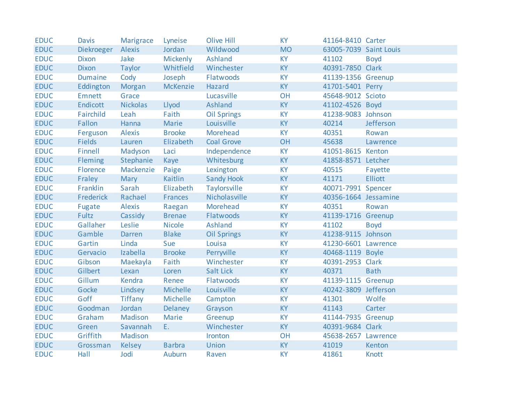| <b>EDUC</b> | <b>Davis</b>   | <b>Marigrace</b> | Lyneise         | <b>Olive Hill</b>   | <b>KY</b> | 41164-8410 Carter      |                |
|-------------|----------------|------------------|-----------------|---------------------|-----------|------------------------|----------------|
| <b>EDUC</b> | Diekroeger     | Alexis           | Jordan          | Wildwood            | <b>MO</b> | 63005-7039 Saint Louis |                |
| <b>EDUC</b> | <b>Dixon</b>   | Jake             | <b>Mickenly</b> | Ashland             | KY        | 41102                  | <b>Boyd</b>    |
| <b>EDUC</b> | <b>Dixon</b>   | <b>Taylor</b>    | Whitfield       | Winchester          | KY        | 40391-7850 Clark       |                |
| <b>EDUC</b> | <b>Dumaine</b> | Cody             | Joseph          | Flatwoods           | <b>KY</b> | 41139-1356 Greenup     |                |
| <b>EDUC</b> | Eddington      | Morgan           | McKenzie        | Hazard              | <b>KY</b> | 41701-5401 Perry       |                |
| <b>EDUC</b> | Emnett         | Grace            |                 | Lucasville          | <b>OH</b> | 45648-9012 Scioto      |                |
| <b>EDUC</b> | Endicott       | <b>Nickolas</b>  | Llyod           | <b>Ashland</b>      | KY        | 41102-4526 Boyd        |                |
| <b>EDUC</b> | Fairchild      | Leah             | Faith           | <b>Oil Springs</b>  | KY        | 41238-9083 Johnson     |                |
| <b>EDUC</b> | Fallon         | Hanna            | Marie           | Louisville          | KY        | 40214                  | Jefferson      |
| <b>EDUC</b> | Ferguson       | Alexis           | <b>Brooke</b>   | Morehead            | KY        | 40351                  | Rowan          |
| <b>EDUC</b> | <b>Fields</b>  | Lauren           | Elizabeth       | <b>Coal Grove</b>   | OH        | 45638                  | Lawrence       |
| <b>EDUC</b> | Finnell        | Madyson          | Laci            | Independence        | KY        | 41051-8615 Kenton      |                |
| <b>EDUC</b> | Fleming        | Stephanie        | Kaye            | Whitesburg          | <b>KY</b> | 41858-8571 Letcher     |                |
| <b>EDUC</b> | Florence       | Mackenzie        | Paige           | Lexington           | <b>KY</b> | 40515                  | Fayette        |
| <b>EDUC</b> | Fraley         | Mary             | <b>Kaitlin</b>  | <b>Sandy Hook</b>   | KY        | 41171                  | <b>Elliott</b> |
| <b>EDUC</b> | Franklin       | Sarah            | Elizabeth       | <b>Taylorsville</b> | KY        | 40071-7991 Spencer     |                |
| <b>EDUC</b> | Frederick      | Rachael          | <b>Frances</b>  | Nicholasville       | KY        | 40356-1664 Jessamine   |                |
| <b>EDUC</b> | Fugate         | <b>Alexis</b>    | Raegan          | Morehead            | KY        | 40351                  | Rowan          |
| <b>EDUC</b> | Fultz          | Cassidy          | <b>Brenae</b>   | Flatwoods           | KY        | 41139-1716 Greenup     |                |
| <b>EDUC</b> | Gallaher       | Leslie           | <b>Nicole</b>   | Ashland             | KY        | 41102                  | <b>Boyd</b>    |
| <b>EDUC</b> | Gamble         | <b>Darren</b>    | <b>Blake</b>    | <b>Oil Springs</b>  | KY        | 41238-9115 Johnson     |                |
| <b>EDUC</b> | Gartin         | Linda            | Sue             | Louisa              | <b>KY</b> | 41230-6601 Lawrence    |                |
| <b>EDUC</b> | Gervacio       | Izabella         | <b>Brooke</b>   | Perryville          | KY        | 40468-1119 Boyle       |                |
| <b>EDUC</b> | Gibson         | Maekayla         | Faith           | Winchester          | <b>KY</b> | 40391-2953 Clark       |                |
| <b>EDUC</b> | Gilbert        | Lexan            | Loren           | <b>Salt Lick</b>    | KY        | 40371                  | <b>Bath</b>    |
| <b>EDUC</b> | Gillum         | Kendra           | Renee           | Flatwoods           | KY        | 41139-1115 Greenup     |                |
| <b>EDUC</b> | Gocke          | Lindsey          | Michelle        | Louisville          | KY        | 40242-3809 Jefferson   |                |
| <b>EDUC</b> | Goff           | Tiffany          | Michelle        | Campton             | KY        | 41301                  | Wolfe          |
| <b>EDUC</b> | Goodman        | Jordan           | Delaney         | Grayson             | KY        | 41143                  | Carter         |
| <b>EDUC</b> | Graham         | Madison          | <b>Marie</b>    | Greenup             | KY        | 41144-7935 Greenup     |                |
| <b>EDUC</b> | Green          | Savannah         | Ε.              | Winchester          | KY        | 40391-9684 Clark       |                |
| <b>EDUC</b> | Griffith       | Madison          |                 | Ironton             | OH        | 45638-2657 Lawrence    |                |
| <b>EDUC</b> | Grossman       | <b>Kelsey</b>    | <b>Barbra</b>   | Union               | KY        | 41019                  | Kenton         |
| <b>EDUC</b> | Hall           | Jodi             | <b>Auburn</b>   | Raven               | <b>KY</b> | 41861                  | <b>Knott</b>   |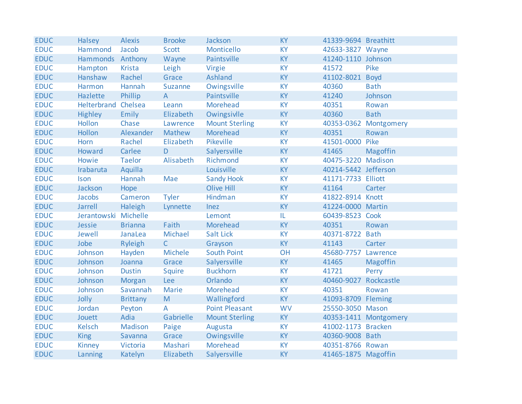| <b>EDUC</b> | <b>Halsey</b>        | <b>Alexis</b>   | <b>Brooke</b> | Jackson               | <b>KY</b> | 41339-9694 Breathitt  |                       |
|-------------|----------------------|-----------------|---------------|-----------------------|-----------|-----------------------|-----------------------|
| <b>EDUC</b> | Hammond              | Jacob           | Scott         | Monticello            | <b>KY</b> | 42633-3827 Wayne      |                       |
| <b>EDUC</b> | Hammonds Anthony     |                 | Wayne         | Paintsville           | <b>KY</b> | 41240-1110 Johnson    |                       |
| <b>EDUC</b> | Hampton              | <b>Krista</b>   | Leigh         | Virgie                | <b>KY</b> | 41572                 | Pike                  |
| <b>EDUC</b> | Hanshaw              | Rachel          | Grace         | <b>Ashland</b>        | <b>KY</b> | 41102-8021 Boyd       |                       |
| <b>EDUC</b> | Harmon               | Hannah          | Suzanne       | Owingsville           | <b>KY</b> | 40360                 | <b>Bath</b>           |
| <b>EDUC</b> | Hazlette             | Phillip         | $\mathsf{A}$  | Paintsville           | KY        | 41240                 | Johnson               |
| <b>EDUC</b> | Helterbrand Chelsea  |                 | Leann         | Morehead              | <b>KY</b> | 40351                 | Rowan                 |
| <b>EDUC</b> | <b>Highley</b>       | Emily           | Elizabeth     | Owingsivlle           | KY        | 40360                 | <b>Bath</b>           |
| <b>EDUC</b> | Hollon               | Chase           | Lawrence      | <b>Mount Sterling</b> | <b>KY</b> |                       | 40353-0362 Montgomery |
| <b>EDUC</b> | <b>Hollon</b>        | Alexander       | Mathew        | Morehead              | <b>KY</b> | 40351                 | Rowan                 |
| <b>EDUC</b> | Horn                 | Rachel          | Elizabeth     | Pikeville             | <b>KY</b> | 41501-0000            | Pike                  |
| <b>EDUC</b> | Howard               | Carlee          | D             | Salyersville          | KY        | 41465                 | Magoffin              |
| <b>EDUC</b> | Howie                | <b>Taelor</b>   | Alisabeth     | Richmond              | <b>KY</b> | 40475-3220 Madison    |                       |
| <b>EDUC</b> | Irabaruta            | Aquilla         |               | Louisville            | <b>KY</b> | 40214-5442 Jefferson  |                       |
| <b>EDUC</b> | Ison                 | Hannah          | Mae           | <b>Sandy Hook</b>     | <b>KY</b> | 41171-7733 Elliott    |                       |
| <b>EDUC</b> | Jackson              | Hope            |               | Olive Hill            | <b>KY</b> | 41164                 | Carter                |
| <b>EDUC</b> | Jacobs               | Cameron         | <b>Tyler</b>  | Hindman               | <b>KY</b> | 41822-8914 Knott      |                       |
| <b>EDUC</b> | Jarrell              | Haleigh         | Lynnette      | Inez                  | <b>KY</b> | 41224-0000 Martin     |                       |
| <b>EDUC</b> | Jerantowski Michelle |                 |               | Lemont                | IL.       | 60439-8523 Cook       |                       |
| <b>EDUC</b> | Jessie               | <b>Brianna</b>  | Faith         | Morehead              | KY        | 40351                 | Rowan                 |
| <b>EDUC</b> | Jewell               | JanaLea         | Michael       | <b>Salt Lick</b>      | <b>KY</b> | 40371-8722 Bath       |                       |
| <b>EDUC</b> | Jobe                 | <b>Ryleigh</b>  | $\mathsf{C}$  | Grayson               | <b>KY</b> | 41143                 | Carter                |
| <b>EDUC</b> | Johnson              | Hayden          | Michele       | South Point           | OH        | 45680-7757 Lawrence   |                       |
| <b>EDUC</b> | Johnson              | Joanna          | Grace         | Salyersville          | <b>KY</b> | 41465                 | Magoffin              |
| <b>EDUC</b> | Johnson              | <b>Dustin</b>   | Squire        | <b>Buckhorn</b>       | <b>KY</b> | 41721                 | Perry                 |
| <b>EDUC</b> | Johnson              | Morgan          | Lee           | Orlando               | <b>KY</b> | 40460-9027 Rockcastle |                       |
| <b>EDUC</b> | Johnson              | Savannah        | Marie         | Morehead              | <b>KY</b> | 40351                 | Rowan                 |
| <b>EDUC</b> | Jolly                | <b>Brittany</b> | M             | Wallingford           | <b>KY</b> | 41093-8709 Fleming    |                       |
| <b>EDUC</b> | Jordan               | Peyton          | A             | <b>Point Pleasant</b> | <b>WV</b> | 25550-3050 Mason      |                       |
| <b>EDUC</b> | Jouett               | Adia            | Gabrielle     | <b>Mount Sterling</b> | <b>KY</b> |                       | 40353-1411 Montgomery |
| <b>EDUC</b> | Kelsch               | Madison         | Paige         | Augusta               | <b>KY</b> | 41002-1173 Bracken    |                       |
| <b>EDUC</b> | <b>King</b>          | Savanna         | Grace         | Owingsville           | <b>KY</b> | 40360-9008 Bath       |                       |
| <b>EDUC</b> | <b>Kinney</b>        | Victoria        | Mashari       | Morehead              | <b>KY</b> | 40351-8766 Rowan      |                       |
| <b>EDUC</b> | Lanning              | Katelyn         | Elizabeth     | Salyersville          | <b>KY</b> | 41465-1875 Magoffin   |                       |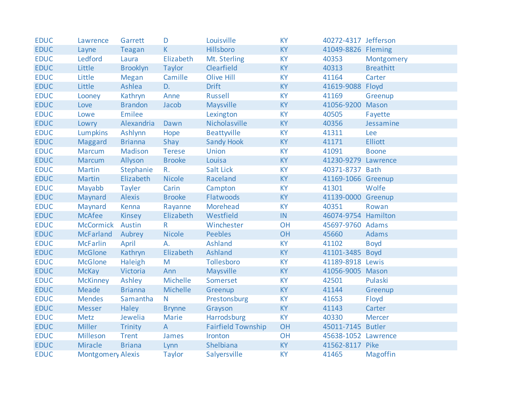| <b>EDUC</b> | Lawrence                 | Garrett         | D              | Louisville                | <b>KY</b> | 40272-4317 Jefferson |                  |
|-------------|--------------------------|-----------------|----------------|---------------------------|-----------|----------------------|------------------|
| <b>EDUC</b> | Layne                    | Teagan          | K.             | Hillsboro                 | <b>KY</b> | 41049-8826 Fleming   |                  |
| <b>EDUC</b> | Ledford                  | Laura           | Elizabeth      | Mt. Sterling              | KY        | 40353                | Montgomery       |
| <b>EDUC</b> | Little                   | <b>Brooklyn</b> | Taylor         | Clearfield                | <b>KY</b> | 40313                | <b>Breathitt</b> |
| <b>EDUC</b> | Little                   | <b>Megan</b>    | Camille        | Olive Hill                | KY        | 41164                | Carter           |
| <b>EDUC</b> | Little                   | Ashlea          | D.             | <b>Drift</b>              | KY        | 41619-9088 Floyd     |                  |
| <b>EDUC</b> | Looney                   | Kathryn         | Anne           | Russell                   | <b>KY</b> | 41169                | Greenup          |
| <b>EDUC</b> | Love                     | <b>Brandon</b>  | Jacob          | Maysville                 | KY        | 41056-9200 Mason     |                  |
| <b>EDUC</b> | Lowe                     | <b>Emilee</b>   |                | Lexington                 | <b>KY</b> | 40505                | Fayette          |
| <b>EDUC</b> | Lowry                    | Alexandria      | Dawn           | Nicholasville             | KY        | 40356                | Jessamine        |
| <b>EDUC</b> | Lumpkins                 | Ashlynn         | Hope           | Beattyville               | <b>KY</b> | 41311                | Lee              |
| <b>EDUC</b> | Maggard                  | <b>Brianna</b>  | Shay           | <b>Sandy Hook</b>         | KY        | 41171                | <b>Elliott</b>   |
| <b>EDUC</b> | <b>Marcum</b>            | Madison         | <b>Terese</b>  | <b>Union</b>              | <b>KY</b> | 41091                | <b>Boone</b>     |
| <b>EDUC</b> | <b>Marcum</b>            | Allyson         | <b>Brooke</b>  | Louisa                    | KY        | 41230-9279 Lawrence  |                  |
| <b>EDUC</b> | <b>Martin</b>            | Stephanie       | $R_{\cdot}$    | Salt Lick                 | <b>KY</b> | 40371-8737 Bath      |                  |
| <b>EDUC</b> | <b>Martin</b>            | Elizabeth       | <b>Nicole</b>  | Raceland                  | <b>KY</b> | 41169-1066 Greenup   |                  |
| <b>EDUC</b> | Mayabb                   | <b>Tayler</b>   | Carin          | Campton                   | KY        | 41301                | Wolfe            |
| <b>EDUC</b> | Maynard                  | <b>Alexis</b>   | <b>Brooke</b>  | Flatwoods                 | <b>KY</b> | 41139-0000 Greenup   |                  |
| <b>EDUC</b> | Maynard                  | Kenna           | Rayanne        | Morehead                  | KY        | 40351                | Rowan            |
| <b>EDUC</b> | <b>McAfee</b>            | Kinsey          | Elizabeth      | Westfield                 | IN        | 46074-9754 Hamilton  |                  |
| <b>EDUC</b> | McCormick Austin         |                 | $\mathsf{R}$   | Winchester                | OH        | 45697-9760 Adams     |                  |
| <b>EDUC</b> | <b>McFarland</b>         | Aubrey          | <b>Nicole</b>  | <b>Peebles</b>            | OH        | 45660                | Adams            |
| <b>EDUC</b> | <b>McFarlin</b>          | April           | А.             | <b>Ashland</b>            | <b>KY</b> | 41102                | <b>Boyd</b>      |
| <b>EDUC</b> | <b>McGlone</b>           | Kathryn         | Elizabeth      | Ashland                   | KY        | 41101-3485           | <b>Boyd</b>      |
| <b>EDUC</b> | <b>McGlone</b>           | Haleigh         | M              | Tollesboro                | <b>KY</b> | 41189-8918 Lewis     |                  |
| <b>EDUC</b> | <b>McKay</b>             | Victoria        | Ann            | Maysville                 | KY        | 41056-9005 Mason     |                  |
| <b>EDUC</b> | <b>McKinney</b>          | Ashley          | Michelle       | Somerset                  | <b>KY</b> | 42501                | Pulaski          |
| <b>EDUC</b> | Meade                    | <b>Brianna</b>  | Michelle       | Greenup                   | KY        | 41144                | Greenup          |
| <b>EDUC</b> | <b>Mendes</b>            | Samantha        | N              | Prestonsburg              | <b>KY</b> | 41653                | Floyd            |
| <b>EDUC</b> | <b>Messer</b>            | Haley           | <b>Brynne</b>  | Grayson                   | <b>KY</b> | 41143                | Carter           |
| <b>EDUC</b> | Metz                     | Jewelia         | Marie          | Harrodsburg               | <b>KY</b> | 40330                | <b>Mercer</b>    |
| <b>EDUC</b> | <b>Miller</b>            | <b>Trinity</b>  | $\overline{A}$ | <b>Fairfield Township</b> | OH        | 45011-7145 Butler    |                  |
| <b>EDUC</b> | Milleson                 | <b>Trent</b>    | James          | Ironton                   | OH        | 45638-1052 Lawrence  |                  |
| <b>EDUC</b> | <b>Miracle</b>           | <b>Briana</b>   | Lynn           | Shelbiana                 | KY        | 41562-8117 Pike      |                  |
| <b>EDUC</b> | <b>Montgomery Alexis</b> |                 | <b>Taylor</b>  | Salyersville              | <b>KY</b> | 41465                | <b>Magoffin</b>  |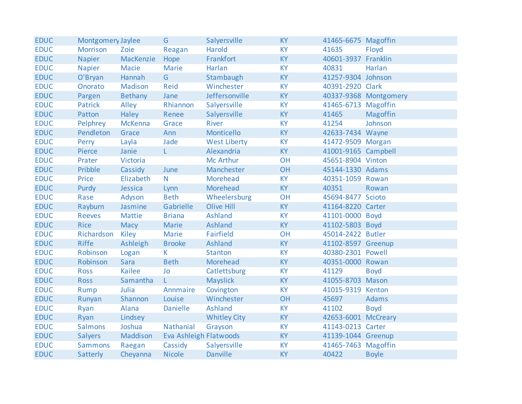| <b>EDUC</b> | Montgomery Jaylee |                | G                      | Salyersville        | <b>KY</b> | 41465-6675 Magoffin |                       |
|-------------|-------------------|----------------|------------------------|---------------------|-----------|---------------------|-----------------------|
| <b>EDUC</b> | <b>Morrison</b>   | Zoie           | Reagan                 | Harold              | <b>KY</b> | 41635               | Floyd                 |
| <b>EDUC</b> | <b>Napier</b>     | MacKenzie      | Hope                   | Frankfort           | <b>KY</b> | 40601-3937 Franklin |                       |
| <b>EDUC</b> | <b>Napier</b>     | Macie          | Marie                  | Harlan              | <b>KY</b> | 40831               | Harlan                |
| <b>EDUC</b> | O'Bryan           | Hannah         | G                      | Stambaugh           | <b>KY</b> | 41257-9304 Johnson  |                       |
| <b>EDUC</b> | Onorato           | Madison        | Reid                   | Winchester          | <b>KY</b> | 40391-2920 Clark    |                       |
| <b>EDUC</b> | Pargen            | <b>Bethany</b> | Jane                   | Jeffersonville      | <b>KY</b> |                     | 40337-9368 Montgomery |
| <b>EDUC</b> | Patrick           | Alley          | Rhiannon               | Salyersville        | <b>KY</b> | 41465-6713 Magoffin |                       |
| <b>EDUC</b> | Patton            | Haley          | Renee                  | Salyersville        | <b>KY</b> | 41465               | Magoffin              |
| <b>EDUC</b> | Pelphrey          | <b>McKenna</b> | Grace                  | River               | <b>KY</b> | 41254               | Johnson               |
| <b>EDUC</b> | Pendleton         | Grace          | Ann                    | Monticello          | <b>KY</b> | 42633-7434 Wayne    |                       |
| <b>EDUC</b> | Perry             | Layla          | Jade                   | <b>West Liberty</b> | <b>KY</b> | 41472-9509 Morgan   |                       |
| <b>EDUC</b> | Pierce            | Janie          | L.                     | Alexandria          | <b>KY</b> | 41001-9165 Campbell |                       |
| <b>EDUC</b> | Prater            | Victoria       |                        | Mc Arthur           | OH        | 45651-8904 Vinton   |                       |
| <b>EDUC</b> | Pribble           | Cassidy        | June                   | Manchester          | OH        | 45144-1330 Adams    |                       |
| <b>EDUC</b> | Price             | Elizabeth      | N.                     | Morehead            | <b>KY</b> | 40351-1059 Rowan    |                       |
| <b>EDUC</b> | Purdy             | Jessica        | Lynn                   | Morehead            | <b>KY</b> | 40351               | Rowan                 |
| <b>EDUC</b> | Rase              | Adyson         | <b>Beth</b>            | Wheelersburg        | OH        | 45694-8477 Scioto   |                       |
| <b>EDUC</b> | Rayburn           | Jasmine        | Gabrielle              | Olive Hill          | <b>KY</b> | 41164-8220 Carter   |                       |
| <b>EDUC</b> | <b>Reeves</b>     | <b>Mattie</b>  | <b>Briana</b>          | Ashland             | <b>KY</b> | 41101-0000 Boyd     |                       |
| <b>EDUC</b> | <b>Rice</b>       | Macy           | Marie                  | Ashland             | <b>KY</b> | 41102-5803 Boyd     |                       |
| <b>EDUC</b> | Richardson        | Kiley          | Marie                  | Fairfield           | OH        | 45014-2422 Butler   |                       |
| <b>EDUC</b> | <b>Riffe</b>      | Ashleigh       | <b>Brooke</b>          | <b>Ashland</b>      | <b>KY</b> | 41102-8597 Greenup  |                       |
| <b>EDUC</b> | Robinson          | Logan          | K.                     | <b>Stanton</b>      | <b>KY</b> | 40380-2301 Powell   |                       |
| <b>EDUC</b> | Robinson          | Sara           | <b>Beth</b>            | Morehead            | <b>KY</b> | 40351-0000 Rowan    |                       |
| <b>EDUC</b> | <b>Ross</b>       | <b>Kailee</b>  | Jo                     | Catlettsburg        | <b>KY</b> | 41129               | <b>Boyd</b>           |
| <b>EDUC</b> | <b>Ross</b>       | Samantha       | L.                     | <b>Mayslick</b>     | <b>KY</b> | 41055-8703 Mason    |                       |
| <b>EDUC</b> | Rump              | Julia          | Annmaire               | Covington           | <b>KY</b> | 41015-9319 Kenton   |                       |
| <b>EDUC</b> | Runyan            | Shannon        | Louise                 | Winchester          | OH        | 45697               | <b>Adams</b>          |
| <b>EDUC</b> | Ryan              | Alana          | <b>Danielle</b>        | Ashland             | <b>KY</b> | 41102               | <b>Boyd</b>           |
| <b>EDUC</b> | Ryan              | Lindsey        |                        | <b>Whitley City</b> | <b>KY</b> | 42653-6001 McCreary |                       |
| <b>EDUC</b> | Salmons           | Joshua         | Nathanial              | Grayson             | <b>KY</b> | 41143-0213 Carter   |                       |
| <b>EDUC</b> | <b>Salyers</b>    | Maddison       | Eva Ashleigh Flatwoods |                     | <b>KY</b> | 41139-1044 Greenup  |                       |
| <b>EDUC</b> | <b>Sammons</b>    | Raegan         | Cassidy                | Salyersville        | KY        | 41465-7463 Magoffin |                       |
| <b>EDUC</b> | Satterly          | Cheyanna       | <b>Nicole</b>          | Danville            | <b>KY</b> | 40422               | <b>Boyle</b>          |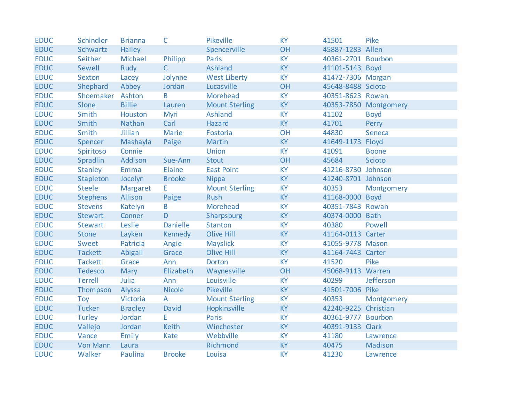| <b>EDUC</b> | Schindler        | <b>Brianna</b> | C               | Pikeville             | <b>KY</b> | 41501                | Pike                  |
|-------------|------------------|----------------|-----------------|-----------------------|-----------|----------------------|-----------------------|
| <b>EDUC</b> | Schwartz         | Hailey         |                 | Spencerville          | OH        | 45887-1283 Allen     |                       |
| <b>EDUC</b> | Seither          | Michael        | Philipp         | Paris                 | <b>KY</b> | 40361-2701 Bourbon   |                       |
| <b>EDUC</b> | Sewell           | Rudy           | $\mathsf{C}$    | Ashland               | <b>KY</b> | 41101-5143 Boyd      |                       |
| <b>EDUC</b> | Sexton           | Lacey          | Jolynne         | <b>West Liberty</b>   | KY        | 41472-7306 Morgan    |                       |
| <b>EDUC</b> | Shephard         | Abbey          | Jordan          | Lucasville            | OH        | 45648-8488 Scioto    |                       |
| <b>EDUC</b> | Shoemaker Ashton |                | B               | Morehead              | <b>KY</b> | 40351-8623 Rowan     |                       |
| <b>EDUC</b> | Slone            | <b>Billie</b>  | Lauren          | <b>Mount Sterling</b> | KY        |                      | 40353-7850 Montgomery |
| <b>EDUC</b> | Smith            | Houston        | Myri            | <b>Ashland</b>        | <b>KY</b> | 41102                | <b>Boyd</b>           |
| <b>EDUC</b> | Smith            | Nathan         | Carl            | Hazard                | KY        | 41701                | Perry                 |
| <b>EDUC</b> | Smith            | Jillian        | Marie           | Fostoria              | OH        | 44830                | Seneca                |
| <b>EDUC</b> | Spencer          | Mashayla       | Paige           | <b>Martin</b>         | KY        | 41649-1173 Floyd     |                       |
| <b>EDUC</b> | Spiritoso        | Connie         |                 | Union                 | KY        | 41091                | <b>Boone</b>          |
| <b>EDUC</b> | Spradlin         | Addison        | Sue-Ann         | <b>Stout</b>          | OH        | 45684                | Scioto                |
| <b>EDUC</b> | <b>Stanley</b>   | Emma           | Elaine          | <b>East Point</b>     | <b>KY</b> | 41216-8730 Johnson   |                       |
| <b>EDUC</b> | Stapleton        | Jocelyn        | <b>Brooke</b>   | <b>Nippa</b>          | <b>KY</b> | 41240-8701 Johnson   |                       |
| <b>EDUC</b> | <b>Steele</b>    | Margaret       | E.              | <b>Mount Sterling</b> | KY        | 40353                | Montgomery            |
| <b>EDUC</b> | <b>Stephens</b>  | Allison        | Paige           | <b>Rush</b>           | <b>KY</b> | 41168-0000 Boyd      |                       |
| <b>EDUC</b> | <b>Stevens</b>   | Katelyn        | B               | Morehead              | KY        | 40351-7843 Rowan     |                       |
| <b>EDUC</b> | <b>Stewart</b>   | Conner         | $\mathsf{D}$    | Sharpsburg            | KY        | 40374-0000 Bath      |                       |
| <b>EDUC</b> | <b>Stewart</b>   | Leslie         | <b>Danielle</b> | <b>Stanton</b>        | <b>KY</b> | 40380                | Powell                |
| <b>EDUC</b> | <b>Stone</b>     | Layken         | <b>Kennedy</b>  | Olive Hill            | KY        | 41164-0113 Carter    |                       |
| <b>EDUC</b> | Sweet            | Patricia       | Angie           | Mayslick              | KY        | 41055-9778 Mason     |                       |
| <b>EDUC</b> | <b>Tackett</b>   | Abigail        | Grace           | Olive Hill            | KY        | 41164-7443 Carter    |                       |
| <b>EDUC</b> | <b>Tackett</b>   | Grace          | Ann             | <b>Dorton</b>         | <b>KY</b> | 41520                | Pike                  |
| <b>EDUC</b> | <b>Tedesco</b>   | <b>Mary</b>    | Elizabeth       | Waynesville           | OH        | 45068-9113 Warren    |                       |
| <b>EDUC</b> | <b>Terrell</b>   | Julia          | Ann             | Louisville            | KY        | 40299                | Jefferson             |
| <b>EDUC</b> | Thompson         | Alyssa         | <b>Nicole</b>   | Pikeville             | <b>KY</b> | 41501-7006 Pike      |                       |
| <b>EDUC</b> | Toy              | Victoria       | $\mathsf{A}$    | <b>Mount Sterling</b> | KY        | 40353                | Montgomery            |
| <b>EDUC</b> | <b>Tucker</b>    | <b>Bradley</b> | David           | Hopkinsville          | <b>KY</b> | 42240-9225 Christian |                       |
| <b>EDUC</b> | Turley           | Jordan         | E.              | Paris                 | KY        | 40361-9777 Bourbon   |                       |
| <b>EDUC</b> | Vallejo          | Jordan         | <b>Keith</b>    | Winchester            | <b>KY</b> | 40391-9133 Clark     |                       |
| <b>EDUC</b> | Vance            | Emily          | Kate            | Webbville             | <b>KY</b> | 41180                | Lawrence              |
| <b>EDUC</b> | <b>Von Mann</b>  | Laura          |                 | Richmond              | KY        | 40475                | Madison               |
| <b>EDUC</b> | Walker           | Paulina        | <b>Brooke</b>   | Louisa                | <b>KY</b> | 41230                | Lawrence              |